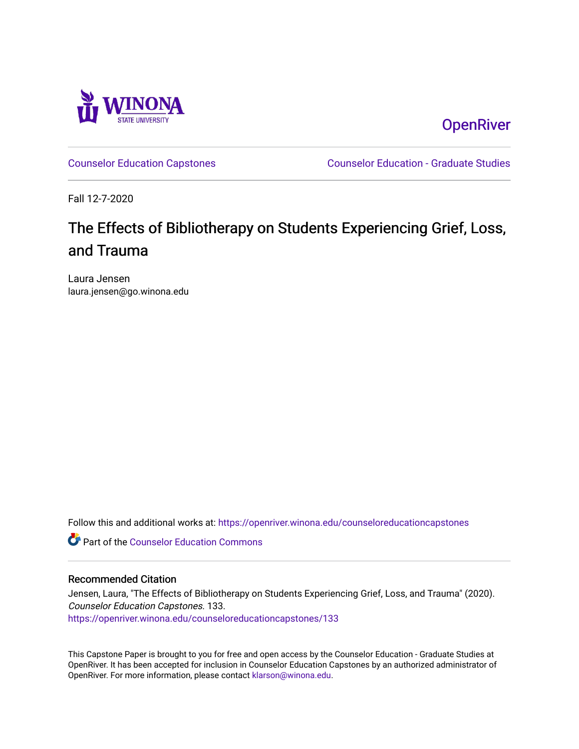

**OpenRiver** 

[Counselor Education Capstones](https://openriver.winona.edu/counseloreducationcapstones) [Counselor Education - Graduate Studies](https://openriver.winona.edu/counseloreducation) 

Fall 12-7-2020

# The Effects of Bibliotherapy on Students Experiencing Grief, Loss, and Trauma

Laura Jensen laura.jensen@go.winona.edu

Follow this and additional works at: [https://openriver.winona.edu/counseloreducationcapstones](https://openriver.winona.edu/counseloreducationcapstones?utm_source=openriver.winona.edu%2Fcounseloreducationcapstones%2F133&utm_medium=PDF&utm_campaign=PDFCoverPages)

**C** Part of the Counselor Education Commons

# Recommended Citation

Jensen, Laura, "The Effects of Bibliotherapy on Students Experiencing Grief, Loss, and Trauma" (2020). Counselor Education Capstones. 133. [https://openriver.winona.edu/counseloreducationcapstones/133](https://openriver.winona.edu/counseloreducationcapstones/133?utm_source=openriver.winona.edu%2Fcounseloreducationcapstones%2F133&utm_medium=PDF&utm_campaign=PDFCoverPages)

This Capstone Paper is brought to you for free and open access by the Counselor Education - Graduate Studies at OpenRiver. It has been accepted for inclusion in Counselor Education Capstones by an authorized administrator of OpenRiver. For more information, please contact [klarson@winona.edu](mailto:klarson@winona.edu).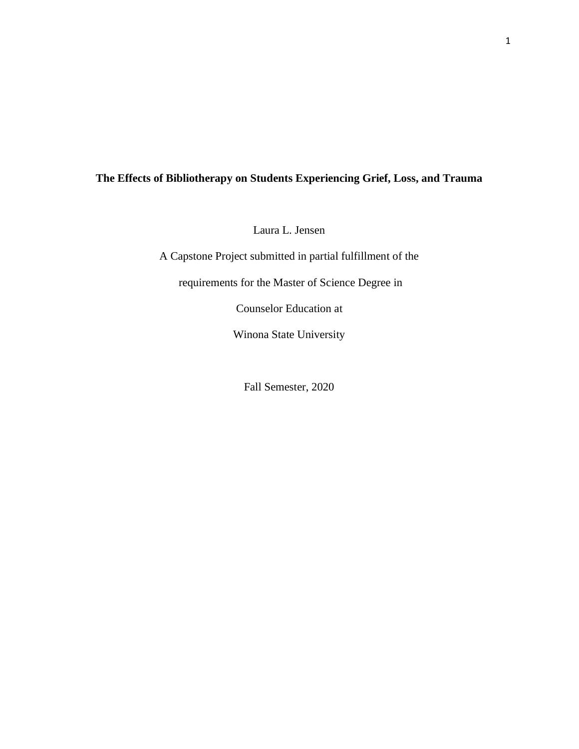# **The Effects of Bibliotherapy on Students Experiencing Grief, Loss, and Trauma**

Laura L. Jensen

A Capstone Project submitted in partial fulfillment of the

requirements for the Master of Science Degree in

Counselor Education at

Winona State University

Fall Semester, 2020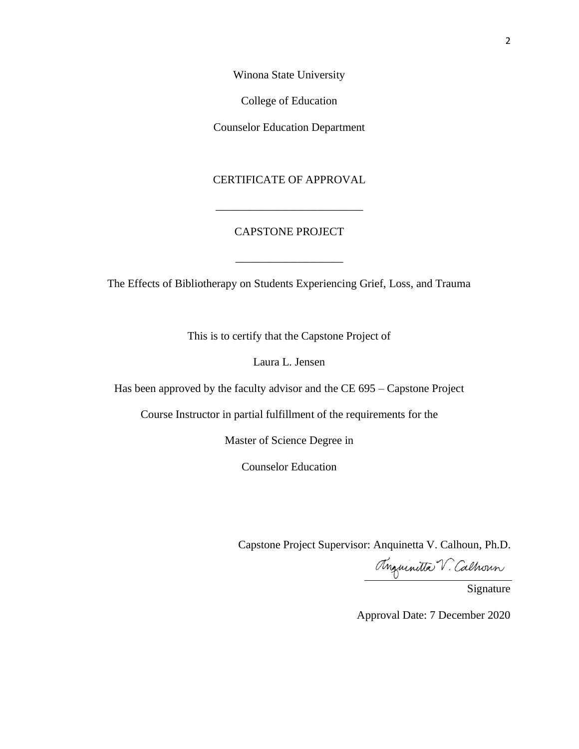Winona State University

College of Education

Counselor Education Department

# CERTIFICATE OF APPROVAL

\_\_\_\_\_\_\_\_\_\_\_\_\_\_\_\_\_\_\_\_\_\_\_\_\_\_

# CAPSTONE PROJECT

The Effects of Bibliotherapy on Students Experiencing Grief, Loss, and Trauma

\_\_\_\_\_\_\_\_\_\_\_\_\_\_\_\_\_\_\_

This is to certify that the Capstone Project of

Laura L. Jensen

Has been approved by the faculty advisor and the CE 695 – Capstone Project

Course Instructor in partial fulfillment of the requirements for the

Master of Science Degree in

Counselor Education

Capstone Project Supervisor: Anquinetta V. Calhoun, Ph.D.

Maurilla V. Calhoun

Approval Date: 7 December 2020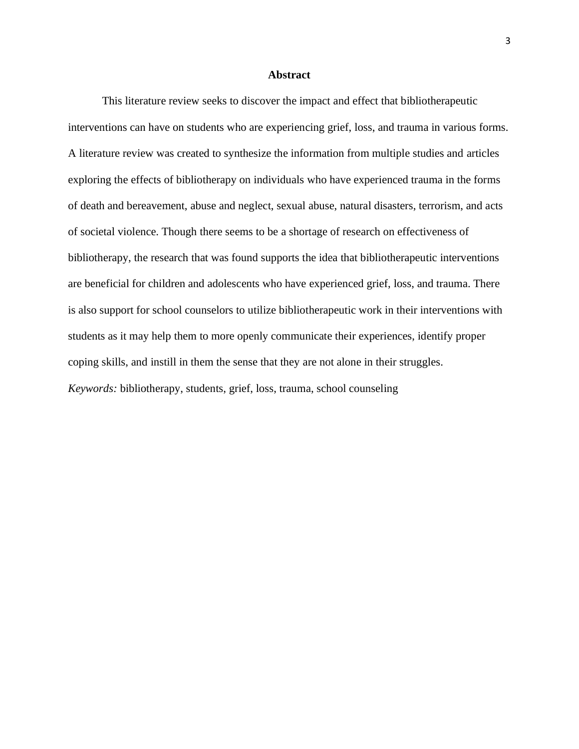# **Abstract**

This literature review seeks to discover the impact and effect that bibliotherapeutic interventions can have on students who are experiencing grief, loss, and trauma in various forms. A literature review was created to synthesize the information from multiple studies and articles exploring the effects of bibliotherapy on individuals who have experienced trauma in the forms of death and bereavement, abuse and neglect, sexual abuse, natural disasters, terrorism, and acts of societal violence. Though there seems to be a shortage of research on effectiveness of bibliotherapy, the research that was found supports the idea that bibliotherapeutic interventions are beneficial for children and adolescents who have experienced grief, loss, and trauma. There is also support for school counselors to utilize bibliotherapeutic work in their interventions with students as it may help them to more openly communicate their experiences, identify proper coping skills, and instill in them the sense that they are not alone in their struggles. *Keywords:* bibliotherapy, students, grief, loss, trauma, school counseling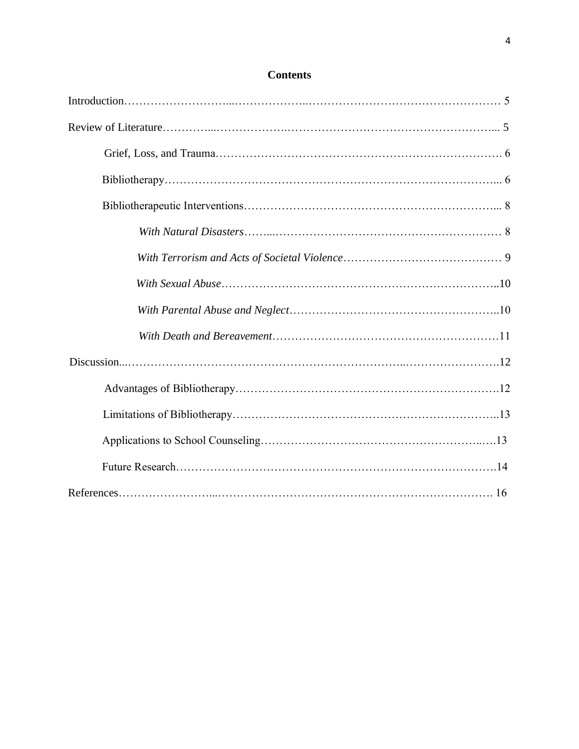# **Contents**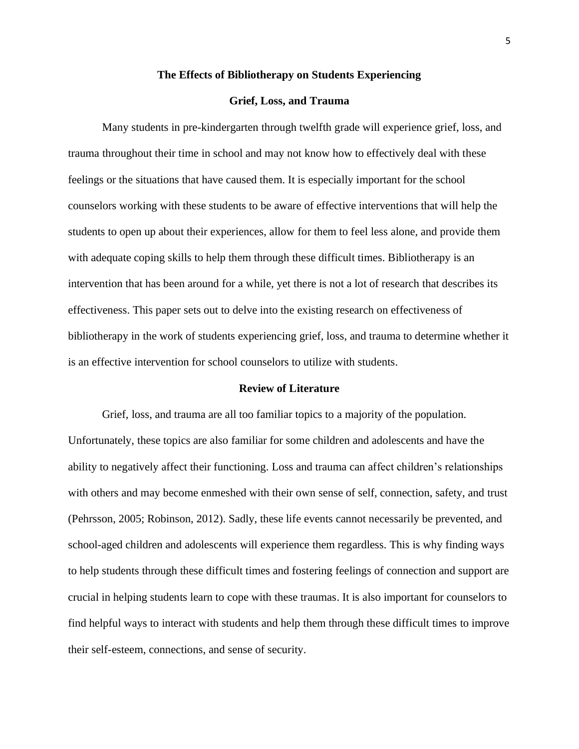#### **The Effects of Bibliotherapy on Students Experiencing**

# **Grief, Loss, and Trauma**

Many students in pre-kindergarten through twelfth grade will experience grief, loss, and trauma throughout their time in school and may not know how to effectively deal with these feelings or the situations that have caused them. It is especially important for the school counselors working with these students to be aware of effective interventions that will help the students to open up about their experiences, allow for them to feel less alone, and provide them with adequate coping skills to help them through these difficult times. Bibliotherapy is an intervention that has been around for a while, yet there is not a lot of research that describes its effectiveness. This paper sets out to delve into the existing research on effectiveness of bibliotherapy in the work of students experiencing grief, loss, and trauma to determine whether it is an effective intervention for school counselors to utilize with students.

# **Review of Literature**

Grief, loss, and trauma are all too familiar topics to a majority of the population. Unfortunately, these topics are also familiar for some children and adolescents and have the ability to negatively affect their functioning. Loss and trauma can affect children's relationships with others and may become enmeshed with their own sense of self, connection, safety, and trust (Pehrsson, 2005; Robinson, 2012). Sadly, these life events cannot necessarily be prevented, and school-aged children and adolescents will experience them regardless. This is why finding ways to help students through these difficult times and fostering feelings of connection and support are crucial in helping students learn to cope with these traumas. It is also important for counselors to find helpful ways to interact with students and help them through these difficult times to improve their self-esteem, connections, and sense of security.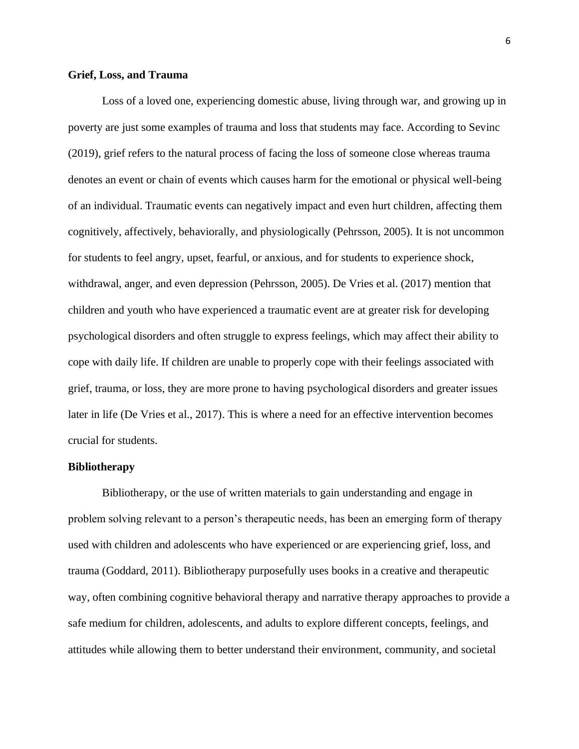# **Grief, Loss, and Trauma**

Loss of a loved one, experiencing domestic abuse, living through war, and growing up in poverty are just some examples of trauma and loss that students may face. According to Sevinc (2019), grief refers to the natural process of facing the loss of someone close whereas trauma denotes an event or chain of events which causes harm for the emotional or physical well-being of an individual. Traumatic events can negatively impact and even hurt children, affecting them cognitively, affectively, behaviorally, and physiologically (Pehrsson, 2005). It is not uncommon for students to feel angry, upset, fearful, or anxious, and for students to experience shock, withdrawal, anger, and even depression (Pehrsson, 2005). De Vries et al. (2017) mention that children and youth who have experienced a traumatic event are at greater risk for developing psychological disorders and often struggle to express feelings, which may affect their ability to cope with daily life. If children are unable to properly cope with their feelings associated with grief, trauma, or loss, they are more prone to having psychological disorders and greater issues later in life (De Vries et al., 2017). This is where a need for an effective intervention becomes crucial for students.

#### **Bibliotherapy**

Bibliotherapy, or the use of written materials to gain understanding and engage in problem solving relevant to a person's therapeutic needs, has been an emerging form of therapy used with children and adolescents who have experienced or are experiencing grief, loss, and trauma (Goddard, 2011). Bibliotherapy purposefully uses books in a creative and therapeutic way, often combining cognitive behavioral therapy and narrative therapy approaches to provide a safe medium for children, adolescents, and adults to explore different concepts, feelings, and attitudes while allowing them to better understand their environment, community, and societal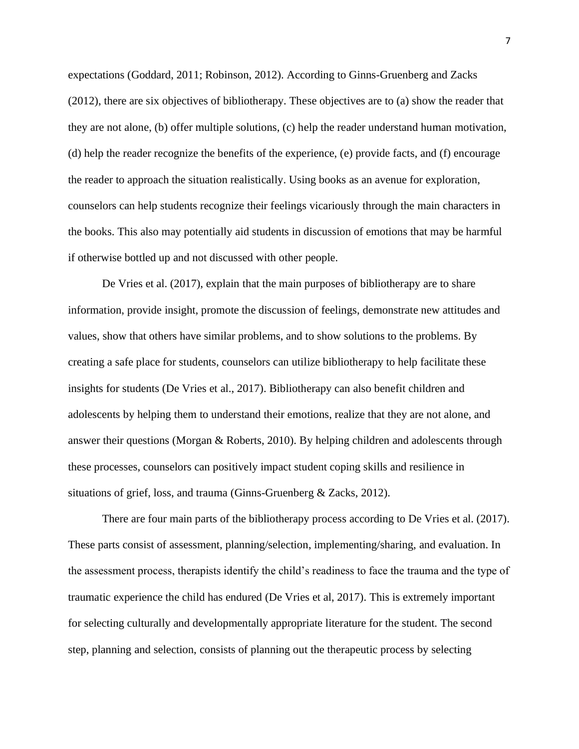expectations (Goddard, 2011; Robinson, 2012). According to Ginns-Gruenberg and Zacks (2012), there are six objectives of bibliotherapy. These objectives are to (a) show the reader that they are not alone, (b) offer multiple solutions, (c) help the reader understand human motivation, (d) help the reader recognize the benefits of the experience, (e) provide facts, and (f) encourage the reader to approach the situation realistically. Using books as an avenue for exploration, counselors can help students recognize their feelings vicariously through the main characters in the books. This also may potentially aid students in discussion of emotions that may be harmful if otherwise bottled up and not discussed with other people.

De Vries et al. (2017), explain that the main purposes of bibliotherapy are to share information, provide insight, promote the discussion of feelings, demonstrate new attitudes and values, show that others have similar problems, and to show solutions to the problems. By creating a safe place for students, counselors can utilize bibliotherapy to help facilitate these insights for students (De Vries et al., 2017). Bibliotherapy can also benefit children and adolescents by helping them to understand their emotions, realize that they are not alone, and answer their questions (Morgan & Roberts, 2010). By helping children and adolescents through these processes, counselors can positively impact student coping skills and resilience in situations of grief, loss, and trauma (Ginns-Gruenberg & Zacks, 2012).

There are four main parts of the bibliotherapy process according to De Vries et al. (2017). These parts consist of assessment, planning/selection, implementing/sharing, and evaluation. In the assessment process, therapists identify the child's readiness to face the trauma and the type of traumatic experience the child has endured (De Vries et al, 2017). This is extremely important for selecting culturally and developmentally appropriate literature for the student. The second step, planning and selection, consists of planning out the therapeutic process by selecting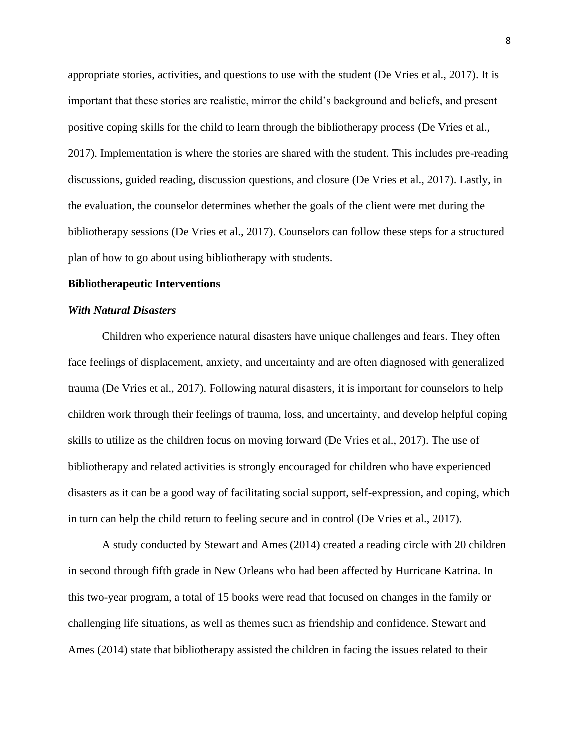appropriate stories, activities, and questions to use with the student (De Vries et al., 2017). It is important that these stories are realistic, mirror the child's background and beliefs, and present positive coping skills for the child to learn through the bibliotherapy process (De Vries et al., 2017). Implementation is where the stories are shared with the student. This includes pre-reading discussions, guided reading, discussion questions, and closure (De Vries et al., 2017). Lastly, in the evaluation, the counselor determines whether the goals of the client were met during the bibliotherapy sessions (De Vries et al., 2017). Counselors can follow these steps for a structured plan of how to go about using bibliotherapy with students.

#### **Bibliotherapeutic Interventions**

# *With Natural Disasters*

Children who experience natural disasters have unique challenges and fears. They often face feelings of displacement, anxiety, and uncertainty and are often diagnosed with generalized trauma (De Vries et al., 2017). Following natural disasters, it is important for counselors to help children work through their feelings of trauma, loss, and uncertainty, and develop helpful coping skills to utilize as the children focus on moving forward (De Vries et al., 2017). The use of bibliotherapy and related activities is strongly encouraged for children who have experienced disasters as it can be a good way of facilitating social support, self-expression, and coping, which in turn can help the child return to feeling secure and in control (De Vries et al., 2017).

A study conducted by Stewart and Ames (2014) created a reading circle with 20 children in second through fifth grade in New Orleans who had been affected by Hurricane Katrina. In this two-year program, a total of 15 books were read that focused on changes in the family or challenging life situations, as well as themes such as friendship and confidence. Stewart and Ames (2014) state that bibliotherapy assisted the children in facing the issues related to their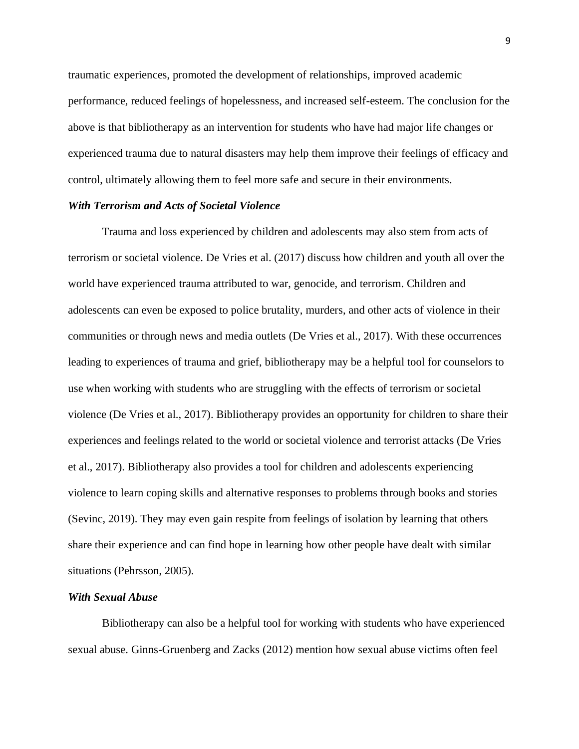traumatic experiences, promoted the development of relationships, improved academic performance, reduced feelings of hopelessness, and increased self-esteem. The conclusion for the above is that bibliotherapy as an intervention for students who have had major life changes or experienced trauma due to natural disasters may help them improve their feelings of efficacy and control, ultimately allowing them to feel more safe and secure in their environments.

# *With Terrorism and Acts of Societal Violence*

Trauma and loss experienced by children and adolescents may also stem from acts of terrorism or societal violence. De Vries et al. (2017) discuss how children and youth all over the world have experienced trauma attributed to war, genocide, and terrorism. Children and adolescents can even be exposed to police brutality, murders, and other acts of violence in their communities or through news and media outlets (De Vries et al., 2017). With these occurrences leading to experiences of trauma and grief, bibliotherapy may be a helpful tool for counselors to use when working with students who are struggling with the effects of terrorism or societal violence (De Vries et al., 2017). Bibliotherapy provides an opportunity for children to share their experiences and feelings related to the world or societal violence and terrorist attacks (De Vries et al., 2017). Bibliotherapy also provides a tool for children and adolescents experiencing violence to learn coping skills and alternative responses to problems through books and stories (Sevinc, 2019). They may even gain respite from feelings of isolation by learning that others share their experience and can find hope in learning how other people have dealt with similar situations (Pehrsson, 2005).

# *With Sexual Abuse*

Bibliotherapy can also be a helpful tool for working with students who have experienced sexual abuse. Ginns-Gruenberg and Zacks (2012) mention how sexual abuse victims often feel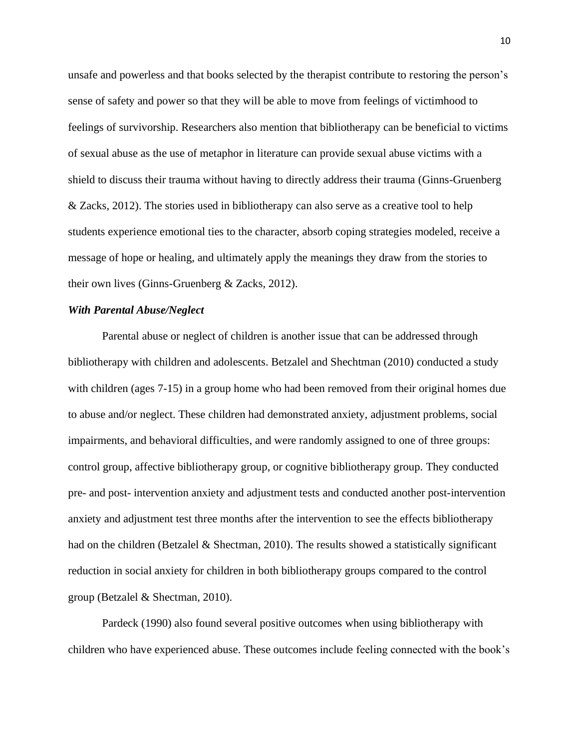unsafe and powerless and that books selected by the therapist contribute to restoring the person's sense of safety and power so that they will be able to move from feelings of victimhood to feelings of survivorship. Researchers also mention that bibliotherapy can be beneficial to victims of sexual abuse as the use of metaphor in literature can provide sexual abuse victims with a shield to discuss their trauma without having to directly address their trauma (Ginns-Gruenberg & Zacks, 2012). The stories used in bibliotherapy can also serve as a creative tool to help students experience emotional ties to the character, absorb coping strategies modeled, receive a message of hope or healing, and ultimately apply the meanings they draw from the stories to their own lives (Ginns-Gruenberg & Zacks, 2012).

## *With Parental Abuse/Neglect*

Parental abuse or neglect of children is another issue that can be addressed through bibliotherapy with children and adolescents. Betzalel and Shechtman (2010) conducted a study with children (ages 7-15) in a group home who had been removed from their original homes due to abuse and/or neglect. These children had demonstrated anxiety, adjustment problems, social impairments, and behavioral difficulties, and were randomly assigned to one of three groups: control group, affective bibliotherapy group, or cognitive bibliotherapy group. They conducted pre- and post- intervention anxiety and adjustment tests and conducted another post-intervention anxiety and adjustment test three months after the intervention to see the effects bibliotherapy had on the children (Betzalel & Shectman, 2010). The results showed a statistically significant reduction in social anxiety for children in both bibliotherapy groups compared to the control group (Betzalel & Shectman, 2010).

Pardeck (1990) also found several positive outcomes when using bibliotherapy with children who have experienced abuse. These outcomes include feeling connected with the book's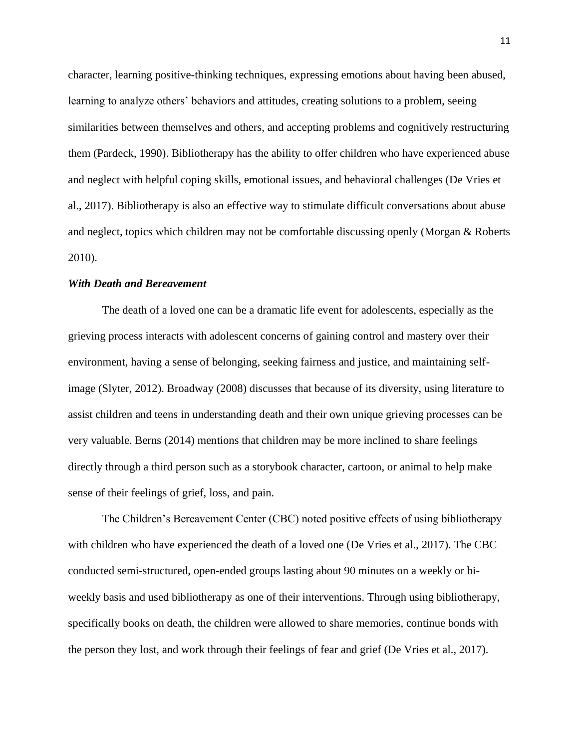character, learning positive-thinking techniques, expressing emotions about having been abused, learning to analyze others' behaviors and attitudes, creating solutions to a problem, seeing similarities between themselves and others, and accepting problems and cognitively restructuring them (Pardeck, 1990). Bibliotherapy has the ability to offer children who have experienced abuse and neglect with helpful coping skills, emotional issues, and behavioral challenges (De Vries et al., 2017). Bibliotherapy is also an effective way to stimulate difficult conversations about abuse and neglect, topics which children may not be comfortable discussing openly (Morgan & Roberts 2010).

# *With Death and Bereavement*

The death of a loved one can be a dramatic life event for adolescents, especially as the grieving process interacts with adolescent concerns of gaining control and mastery over their environment, having a sense of belonging, seeking fairness and justice, and maintaining selfimage (Slyter, 2012). Broadway (2008) discusses that because of its diversity, using literature to assist children and teens in understanding death and their own unique grieving processes can be very valuable. Berns (2014) mentions that children may be more inclined to share feelings directly through a third person such as a storybook character, cartoon, or animal to help make sense of their feelings of grief, loss, and pain.

The Children's Bereavement Center (CBC) noted positive effects of using bibliotherapy with children who have experienced the death of a loved one (De Vries et al., 2017). The CBC conducted semi-structured, open-ended groups lasting about 90 minutes on a weekly or biweekly basis and used bibliotherapy as one of their interventions. Through using bibliotherapy, specifically books on death, the children were allowed to share memories, continue bonds with the person they lost, and work through their feelings of fear and grief (De Vries et al., 2017).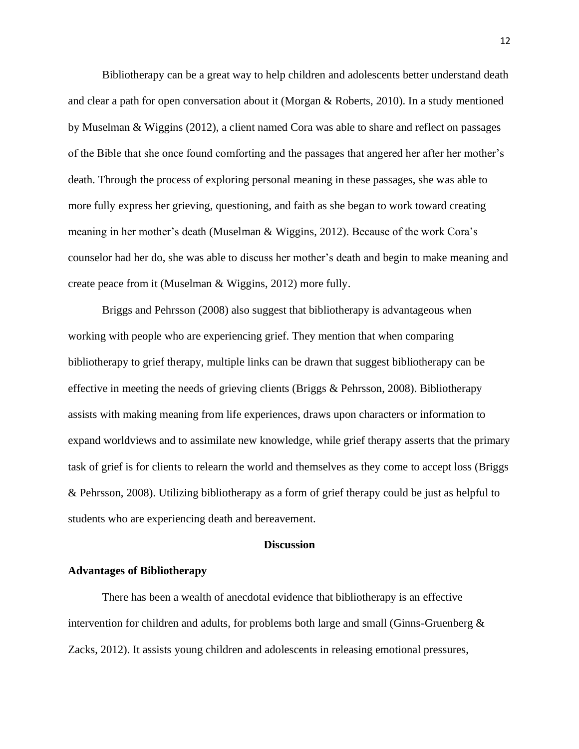Bibliotherapy can be a great way to help children and adolescents better understand death and clear a path for open conversation about it (Morgan & Roberts, 2010). In a study mentioned by Muselman & Wiggins (2012), a client named Cora was able to share and reflect on passages of the Bible that she once found comforting and the passages that angered her after her mother's death. Through the process of exploring personal meaning in these passages, she was able to more fully express her grieving, questioning, and faith as she began to work toward creating meaning in her mother's death (Muselman & Wiggins, 2012). Because of the work Cora's counselor had her do, she was able to discuss her mother's death and begin to make meaning and create peace from it (Muselman & Wiggins, 2012) more fully.

Briggs and Pehrsson (2008) also suggest that bibliotherapy is advantageous when working with people who are experiencing grief. They mention that when comparing bibliotherapy to grief therapy, multiple links can be drawn that suggest bibliotherapy can be effective in meeting the needs of grieving clients (Briggs & Pehrsson, 2008). Bibliotherapy assists with making meaning from life experiences, draws upon characters or information to expand worldviews and to assimilate new knowledge, while grief therapy asserts that the primary task of grief is for clients to relearn the world and themselves as they come to accept loss (Briggs & Pehrsson, 2008). Utilizing bibliotherapy as a form of grief therapy could be just as helpful to students who are experiencing death and bereavement.

## **Discussion**

# **Advantages of Bibliotherapy**

There has been a wealth of anecdotal evidence that bibliotherapy is an effective intervention for children and adults, for problems both large and small (Ginns-Gruenberg & Zacks, 2012). It assists young children and adolescents in releasing emotional pressures,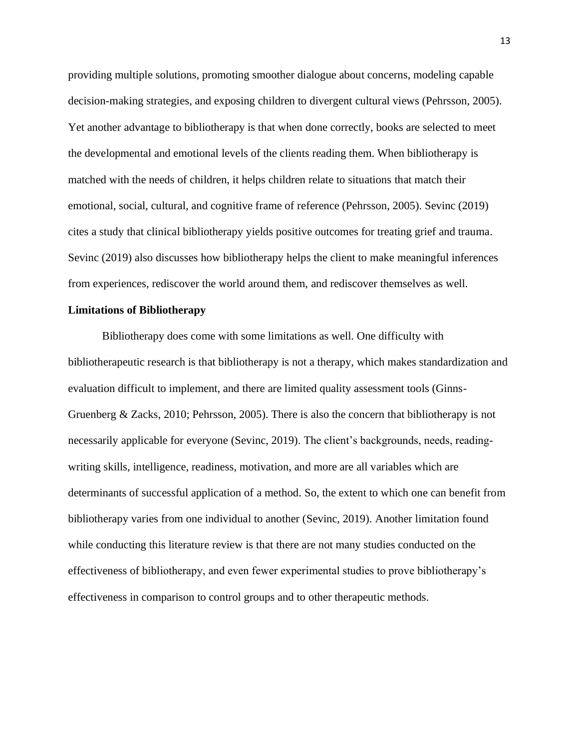providing multiple solutions, promoting smoother dialogue about concerns, modeling capable decision-making strategies, and exposing children to divergent cultural views (Pehrsson, 2005). Yet another advantage to bibliotherapy is that when done correctly, books are selected to meet the developmental and emotional levels of the clients reading them. When bibliotherapy is matched with the needs of children, it helps children relate to situations that match their emotional, social, cultural, and cognitive frame of reference (Pehrsson, 2005). Sevinc (2019) cites a study that clinical bibliotherapy yields positive outcomes for treating grief and trauma. Sevinc (2019) also discusses how bibliotherapy helps the client to make meaningful inferences from experiences, rediscover the world around them, and rediscover themselves as well.

# **Limitations of Bibliotherapy**

Bibliotherapy does come with some limitations as well. One difficulty with bibliotherapeutic research is that bibliotherapy is not a therapy, which makes standardization and evaluation difficult to implement, and there are limited quality assessment tools (Ginns-Gruenberg & Zacks, 2010; Pehrsson, 2005). There is also the concern that bibliotherapy is not necessarily applicable for everyone (Sevinc, 2019). The client's backgrounds, needs, readingwriting skills, intelligence, readiness, motivation, and more are all variables which are determinants of successful application of a method. So, the extent to which one can benefit from bibliotherapy varies from one individual to another (Sevinc, 2019). Another limitation found while conducting this literature review is that there are not many studies conducted on the effectiveness of bibliotherapy, and even fewer experimental studies to prove bibliotherapy's effectiveness in comparison to control groups and to other therapeutic methods.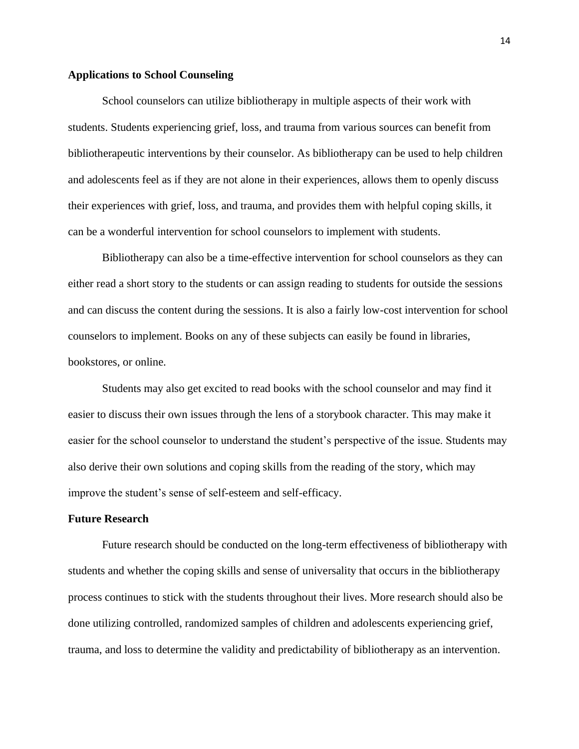# **Applications to School Counseling**

School counselors can utilize bibliotherapy in multiple aspects of their work with students. Students experiencing grief, loss, and trauma from various sources can benefit from bibliotherapeutic interventions by their counselor. As bibliotherapy can be used to help children and adolescents feel as if they are not alone in their experiences, allows them to openly discuss their experiences with grief, loss, and trauma, and provides them with helpful coping skills, it can be a wonderful intervention for school counselors to implement with students.

Bibliotherapy can also be a time-effective intervention for school counselors as they can either read a short story to the students or can assign reading to students for outside the sessions and can discuss the content during the sessions. It is also a fairly low-cost intervention for school counselors to implement. Books on any of these subjects can easily be found in libraries, bookstores, or online.

Students may also get excited to read books with the school counselor and may find it easier to discuss their own issues through the lens of a storybook character. This may make it easier for the school counselor to understand the student's perspective of the issue. Students may also derive their own solutions and coping skills from the reading of the story, which may improve the student's sense of self-esteem and self-efficacy.

# **Future Research**

Future research should be conducted on the long-term effectiveness of bibliotherapy with students and whether the coping skills and sense of universality that occurs in the bibliotherapy process continues to stick with the students throughout their lives. More research should also be done utilizing controlled, randomized samples of children and adolescents experiencing grief, trauma, and loss to determine the validity and predictability of bibliotherapy as an intervention.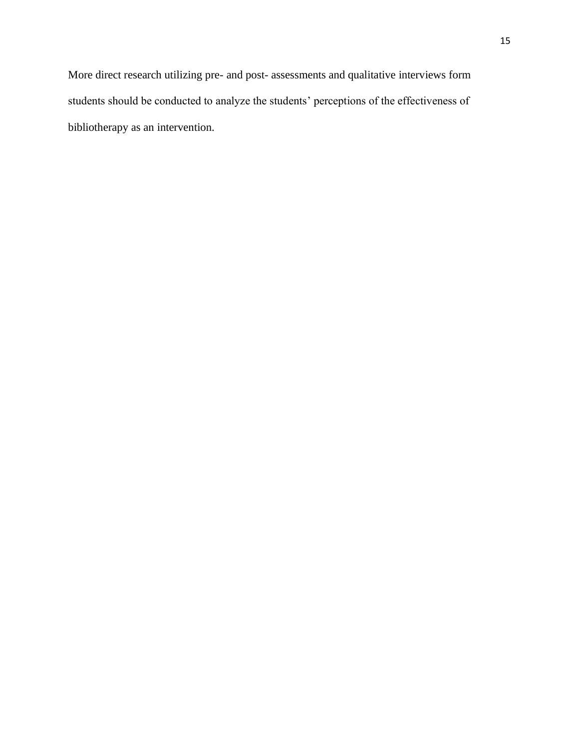More direct research utilizing pre- and post- assessments and qualitative interviews form students should be conducted to analyze the students' perceptions of the effectiveness of bibliotherapy as an intervention.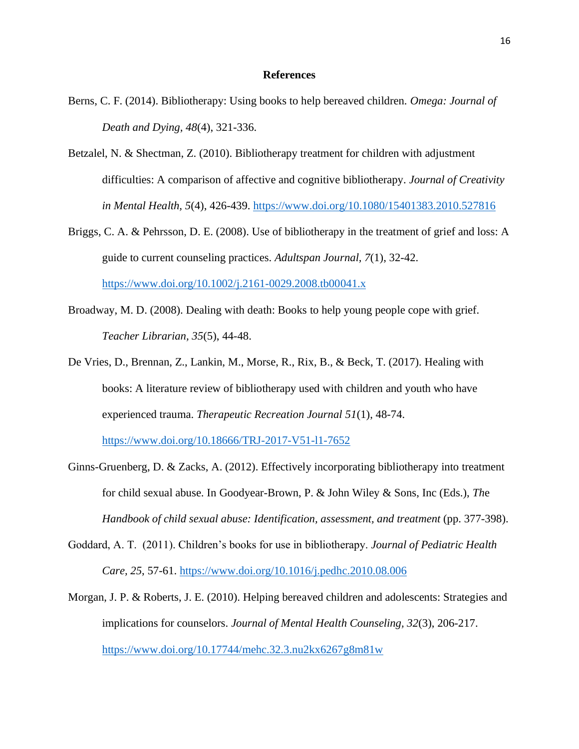# **References**

- Berns, C. F. (2014). Bibliotherapy: Using books to help bereaved children. *Omega: Journal of Death and Dying, 48*(4), 321-336.
- Betzalel, N. & Shectman, Z. (2010). Bibliotherapy treatment for children with adjustment difficulties: A comparison of affective and cognitive bibliotherapy. *Journal of Creativity in Mental Health, 5*(4), 426-439.<https://www.doi.org/10.1080/15401383.2010.527816>
- Briggs, C. A. & Pehrsson, D. E. (2008). Use of bibliotherapy in the treatment of grief and loss: A guide to current counseling practices. *Adultspan Journal, 7*(1), 32-42. <https://www.doi.org/10.1002/j.2161-0029.2008.tb00041.x>
- Broadway, M. D. (2008). Dealing with death: Books to help young people cope with grief. *Teacher Librarian, 35*(5), 44-48.
- De Vries, D., Brennan, Z., Lankin, M., Morse, R., Rix, B., & Beck, T. (2017). Healing with books: A literature review of bibliotherapy used with children and youth who have experienced trauma. *Therapeutic Recreation Journal 51*(1), 48-74. <https://www.doi.org/10.18666/TRJ-2017-V51-l1-7652>

Ginns-Gruenberg, D. & Zacks, A. (2012). Effectively incorporating bibliotherapy into treatment

for child sexual abuse. In Goodyear-Brown, P. & John Wiley & Sons, Inc (Eds.), *Th*e *Handbook of child sexual abuse: Identification, assessment, and treatment* (pp. 377-398).

- Goddard, A. T. (2011). Children's books for use in bibliotherapy. *Journal of Pediatric Health Care, 25*, 57-61.<https://www.doi.org/10.1016/j.pedhc.2010.08.006>
- Morgan, J. P. & Roberts, J. E. (2010). Helping bereaved children and adolescents: Strategies and implications for counselors. *Journal of Mental Health Counseling, 32*(3), 206-217. <https://www.doi.org/10.17744/mehc.32.3.nu2kx6267g8m81w>